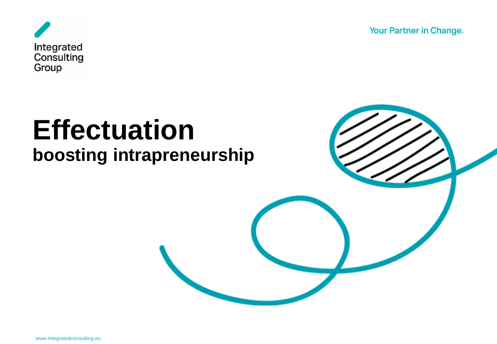

Your Partner in Change.

## **Effectuation boosting intrapreneurship**

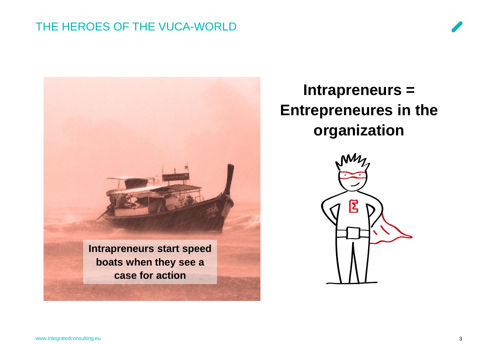#### THE HEROES OF THE VUCA-WORLD



## **Intrapreneurs = Entrepreneures in the organization**

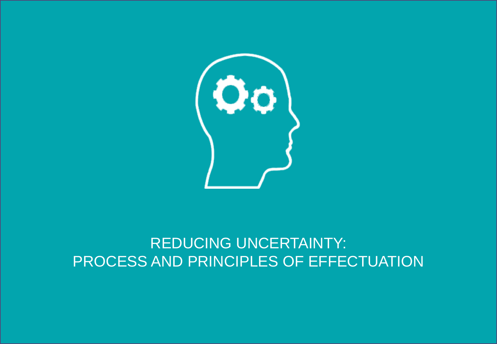

## REDUCING UNCERTAINTY: PROCESS AND PRINCIPLES OF EFFECTUATION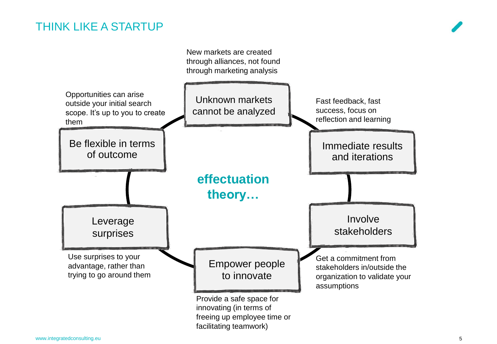#### THINK LIKE A STARTUP

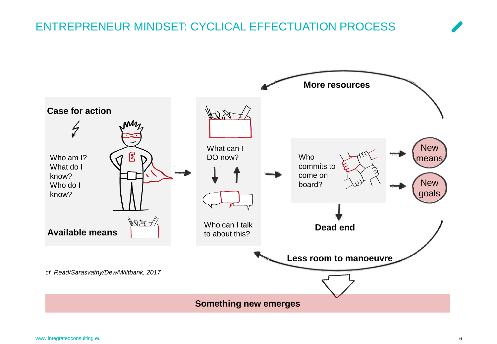#### ENTREPRENEUR MINDSET: CYCLICAL EFFECTUATION PROCESS

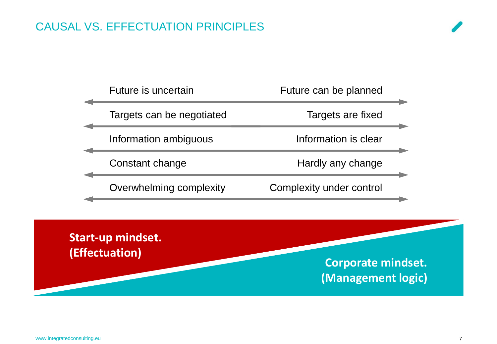#### CAUSAL VS. EFFECTUATION PRINCIPLES



| Future is uncertain       | Future can be planned    |
|---------------------------|--------------------------|
| Targets can be negotiated | Targets are fixed        |
| Information ambiguous     | Information is clear     |
| Constant change           | Hardly any change        |
| Overwhelming complexity   | Complexity under control |

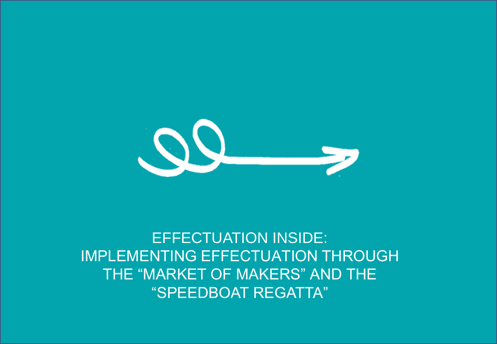

## EFFECTUATION INSIDE: IMPLEMENTING EFFECTUATION THROUGH THE "MARKET OF MAKERS" AND THE "SPEEDBOAT REGATTA"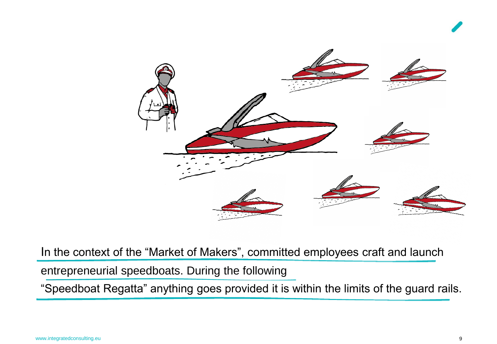

In the context of the "Market of Makers", committed employees craft and launch

entrepreneurial speedboats. During the following

"Speedboat Regatta" anything goes provided it is within the limits of the guard rails.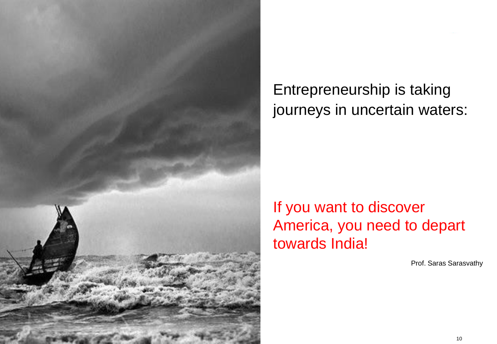

## Entrepreneurship is taking journeys in uncertain waters:

If you want to discover America, you need to depart towards India!

Prof. Saras Sarasvathy